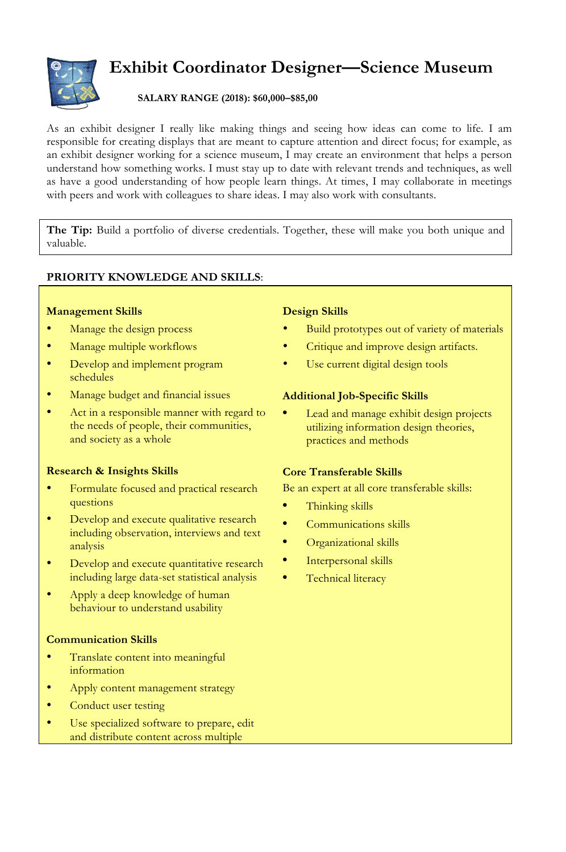

# **Exhibit Coordinator Designer—Science Museum**

## **SALARY RANGE (2018): \$60,000–\$85,00**

As an exhibit designer I really like making things and seeing how ideas can come to life. I am responsible for creating displays that are meant to capture attention and direct focus; for example, as an exhibit designer working for a science museum, I may create an environment that helps a person understand how something works. I must stay up to date with relevant trends and techniques, as well as have a good understanding of how people learn things. At times, I may collaborate in meetings with peers and work with colleagues to share ideas. I may also work with consultants.

**The Tip:** Build a portfolio of diverse credentials. Together, these will make you both unique and valuable.

## **PRIORITY KNOWLEDGE AND SKILLS**:

#### **Management Skills**

- Manage the design process
- Manage multiple workflows
- Develop and implement program schedules
- Manage budget and financial issues
- Act in a responsible manner with regard to the needs of people, their communities, and society as a whole

#### **Research & Insights Skills**

- Formulate focused and practical research questions
- Develop and execute qualitative research including observation, interviews and text analysis
- Develop and execute quantitative research including large data-set statistical analysis
- Apply a deep knowledge of human behaviour to understand usability

#### **Communication Skills**

- Translate content into meaningful information
- Apply content management strategy
- Conduct user testing
- Use specialized software to prepare, edit and distribute content across multiple

## **Design Skills**

- Build prototypes out of variety of materials
- Critique and improve design artifacts.
- Use current digital design tools

## **Additional Job-Specific Skills**

**•** Lead and manage exhibit design projects utilizing information design theories, practices and methods

## **Core Transferable Skills**

Be an expert at all core transferable skills:

- **•** Thinking skills
- **•** Communications skills
- **•** Organizational skills
- **•** Interpersonal skills
- **•** Technical literacy